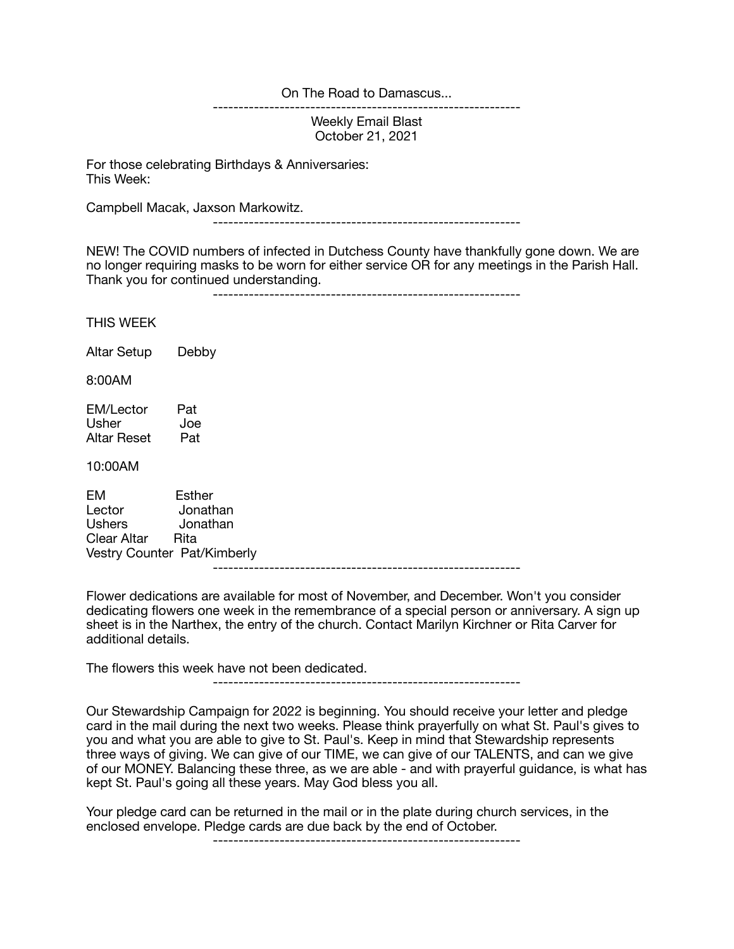On The Road to Damascus...

------------------------------------------------------------

Weekly Email Blast October 21, 2021

For those celebrating Birthdays & Anniversaries: This Week:

Campbell Macak, Jaxson Markowitz.

------------------------------------------------------------

NEW! The COVID numbers of infected in Dutchess County have thankfully gone down. We are no longer requiring masks to be worn for either service OR for any meetings in the Parish Hall. Thank you for continued understanding.

------------------------------------------------------------

THIS WEEK

Altar Setup Debby

8:00AM

EM/Lector Pat<br>Usher Joe Usher Altar Reset Pat

10:00AM

EM Esther Lector Jonathan Ushers Jonathan Clear Altar Rita Vestry Counter Pat/Kimberly ------------------------------------------------------------

Flower dedications are available for most of November, and December. Won't you consider dedicating flowers one week in the remembrance of a special person or anniversary. A sign up sheet is in the Narthex, the entry of the church. Contact Marilyn Kirchner or Rita Carver for additional details.

The flowers this week have not been dedicated.

------------------------------------------------------------

Our Stewardship Campaign for 2022 is beginning. You should receive your letter and pledge card in the mail during the next two weeks. Please think prayerfully on what St. Paul's gives to you and what you are able to give to St. Paul's. Keep in mind that Stewardship represents three ways of giving. We can give of our TIME, we can give of our TALENTS, and can we give of our MONEY. Balancing these three, as we are able - and with prayerful guidance, is what has kept St. Paul's going all these years. May God bless you all.

Your pledge card can be returned in the mail or in the plate during church services, in the enclosed envelope. Pledge cards are due back by the end of October.

------------------------------------------------------------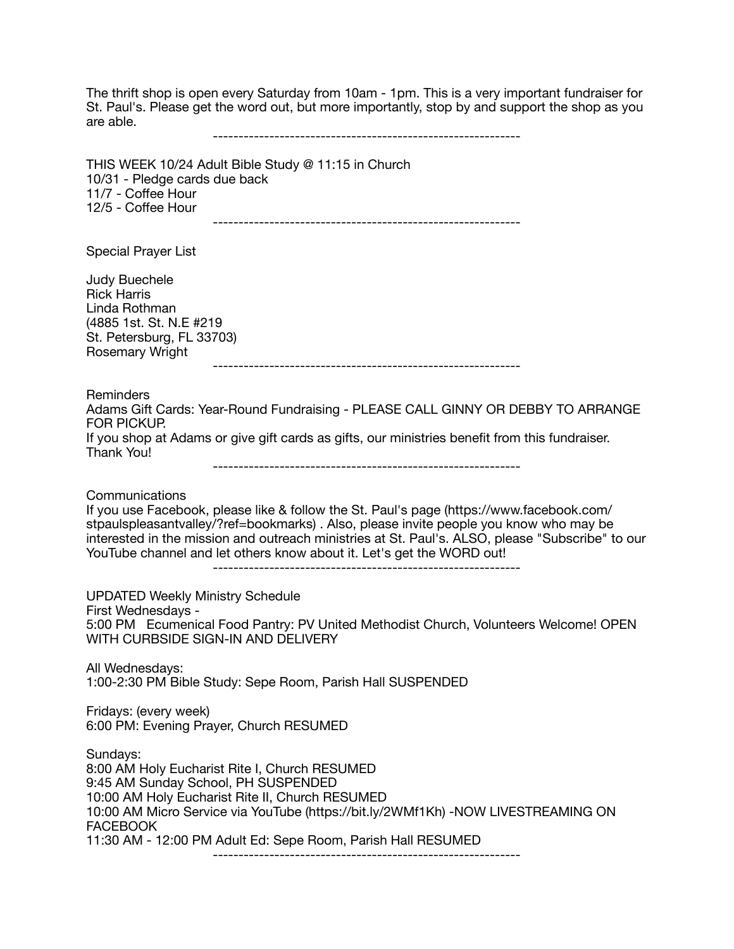The thrift shop is open every Saturday from 10am - 1pm. This is a very important fundraiser for St. Paul's. Please get the word out, but more importantly, stop by and support the shop as you are able.

------------------------------------------------------------

THIS WEEK 10/24 Adult Bible Study @ 11:15 in Church 10/31 - Pledge cards due back 11/7 - Coffee Hour 12/5 - Coffee Hour ------------------------------------------------------------

Special Prayer List

Judy Buechele Rick Harris Linda Rothman (4885 1st. St. N.E #219 St. Petersburg, FL 33703) Rosemary Wright ------------------------------------------------------------ **Reminders** Adams Gift Cards: Year-Round Fundraising - PLEASE CALL GINNY OR DEBBY TO ARRANGE FOR PICKUP. If you shop at Adams or give gift cards as gifts, our ministries benefit from this fundraiser. Thank You! ------------------------------------------------------------ **Communications** If you use Facebook, please like & follow the St. Paul's page (https://www.facebook.com/ stpaulspleasantvalley/?ref=bookmarks) . Also, please invite people you know who may be interested in the mission and outreach ministries at St. Paul's. ALSO, please "Subscribe" to our YouTube channel and let others know about it. Let's get the WORD out! ------------------------------------------------------------ UPDATED Weekly Ministry Schedule First Wednesdays - 5:00 PM Ecumenical Food Pantry: PV United Methodist Church, Volunteers Welcome! OPEN WITH CURBSIDE SIGN-IN AND DELIVERY All Wednesdays: 1:00-2:30 PM Bible Study: Sepe Room, Parish Hall SUSPENDED Fridays: (every week) 6:00 PM: Evening Prayer, Church RESUMED Sundays: 8:00 AM Holy Eucharist Rite I, Church RESUMED 9:45 AM Sunday School, PH SUSPENDED

10:00 AM Holy Eucharist Rite II, Church RESUMED 10:00 AM Micro Service via YouTube (https://bit.ly/2WMf1Kh) -NOW LIVESTREAMING ON FACEBOOK

11:30 AM - 12:00 PM Adult Ed: Sepe Room, Parish Hall RESUMED

------------------------------------------------------------